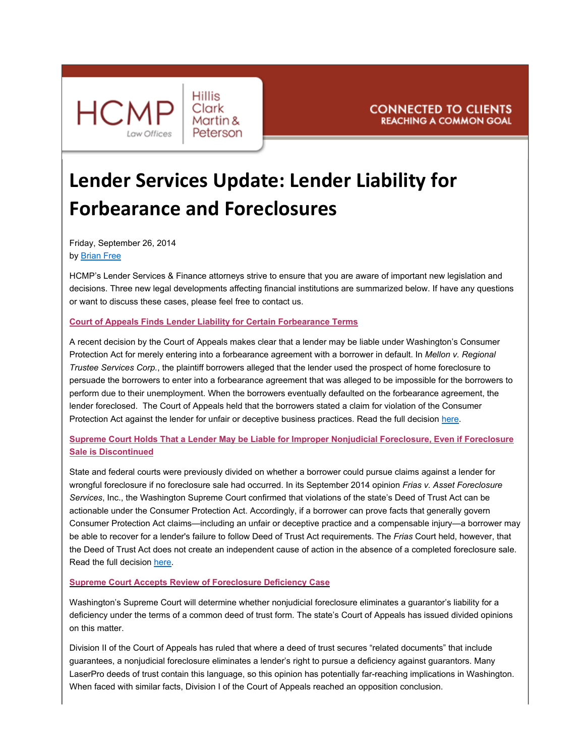

# **Lender Services Update: Lender Liability for Forbearance and Foreclosures**

Friday, September 26, 2014 by [Brian Free](mailto:brian.free@hcmp.com?subject=Your%20article%20re:%20Lender%20Liability%20for%20Forbearance%20and%20Foreclosures)

HCMP's Lender Services & Finance attorneys strive to ensure that you are aware of important new legislation and decisions. Three new legal developments affecting financial institutions are summarized below. If have any questions or want to discuss these cases, please feel free to contact us.

### **Court of Appeals Finds Lender Liability for Certain Forbearance Terms**

A recent decision by the Court of Appeals makes clear that a lender may be liable under Washington's Consumer Protection Act for merely entering into a forbearance agreement with a borrower in default. In *Mellon v. Regional Trustee Services Corp.*, the plaintiff borrowers alleged that the lender used the prospect of home foreclosure to persuade the borrowers to enter into a forbearance agreement that was alleged to be impossible for the borrowers to perform due to their unemployment. When the borrowers eventually defaulted on the forbearance agreement, the lender foreclosed. The Court of Appeals held that the borrowers stated a claim for violation of the Consumer Protection Act against the lender for unfair or deceptive business practices. Read the full decision [here.](http://caselaw.findlaw.com/wa-court-of-appeals/1675452.html)

## **Supreme Court Holds That a Lender May be Liable for Improper Nonjudicial Foreclosure, Even if Foreclosure Sale is Discontinued**

State and federal courts were previously divided on whether a borrower could pursue claims against a lender for wrongful foreclosure if no foreclosure sale had occurred. In its September 2014 opinion *Frias v. Asset Foreclosure Services*, Inc., the Washington Supreme Court confirmed that violations of the state's Deed of Trust Act can be actionable under the Consumer Protection Act. Accordingly, if a borrower can prove facts that generally govern Consumer Protection Act claims—including an unfair or deceptive practice and a compensable injury—a borrower may be able to recover for a lender's failure to follow Deed of Trust Act requirements. The *Frias* Court held, however, that the Deed of Trust Act does not create an independent cause of action in the absence of a completed foreclosure sale. Read the full decision [here](https://www.courts.wa.gov/opinions/pdf/893438.pdf).

#### **Supreme Court Accepts Review of Foreclosure Deficiency Case**

Washington's Supreme Court will determine whether nonjudicial foreclosure eliminates a guarantor's liability for a deficiency under the terms of a common deed of trust form. The state's Court of Appeals has issued divided opinions on this matter.

Division II of the Court of Appeals has ruled that where a deed of trust secures "related documents" that include guarantees, a nonjudicial foreclosure eliminates a lender's right to pursue a deficiency against guarantors. Many LaserPro deeds of trust contain this language, so this opinion has potentially far-reaching implications in Washington. When faced with similar facts, Division I of the Court of Appeals reached an opposition conclusion.